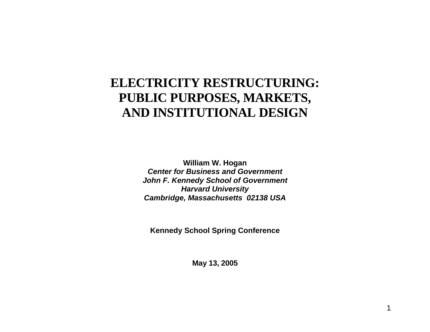# **ELECTRICITY RESTRUCTURING: PUBLIC PURPOSES, MARKETS, AND INSTITUTIONAL DESIGN**

**William W. Hogan**  *Center for Business and Government John F. Kennedy School of Government Harvard University Cambridge, Massachusetts 02138 USA*

**Kennedy School Spring Conference** 

**May 13, 2005**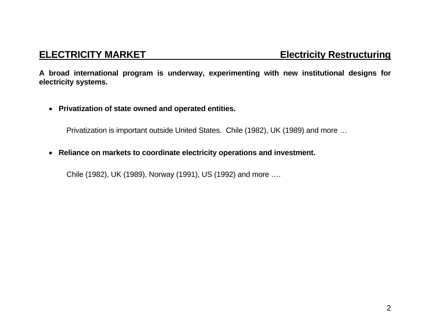**A broad international program is underway, experimenting with new institutional designs for electricity systems.** 

• **Privatization of state owned and operated entities.** 

Privatization is important outside United States. Chile (1982), UK (1989) and more …

• **Reliance on markets to coordinate electricity operations and investment.** 

Chile (1982), UK (1989), Norway (1991), US (1992) and more ….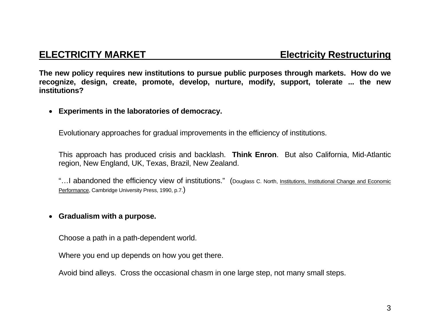**The new policy requires new institutions to pursue public purposes through markets. How do we recognize, design, create, promote, develop, nurture, modify, support, tolerate ... the new institutions?** 

### • **Experiments in the laboratories of democracy.**

Evolutionary approaches for gradual improvements in the efficiency of institutions.

This approach has produced crisis and backlash. **Think Enron**. But also California, Mid-Atlantic region, New England, UK, Texas, Brazil, New Zealand.

"…I abandoned the efficiency view of institutions." (Douglass C. North, Institutions, Institutional Change and Economic Performance, Cambridge University Press, 1990, p.7.)

### • **Gradualism with a purpose.**

Choose a path in a path-dependent world.

Where you end up depends on how you get there.

Avoid bind alleys. Cross the occasional chasm in one large step, not many small steps.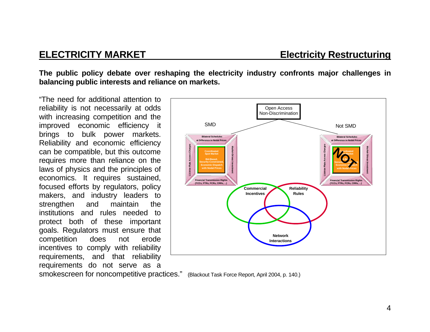**The public policy debate over reshaping the electricity industry confronts major challenges in balancing public interests and reliance on markets.** 

"The need for additional attention to reliability is not necessarily at odds with increasing competition and the improved economic efficiency it brings to bulk power markets. Reliability and economic efficiency can be compatible, but this outcome requires more than reliance on the laws of physics and the principles of economics. It requires sustained, focused efforts by regulators, policy makers, and industry leaders to strengthen and maintain the institutions and rules needed to protect both of these important goals. Regulators must ensure that competition does not erode incentives to comply with reliability requirements, and that reliability requirements do not serve as a



smokescreen for noncompetitive practices." (Blackout Task Force Report, April 2004, p. 140.)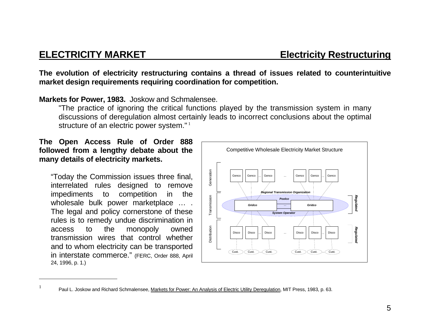**The evolution of electricity restructuring contains a thread of issues related to counterintuitive market design requirements requiring coordination for competition.** 

### **Markets for Power, 1983.** Joskow and Schmalensee.

"The practice of ignoring the critical functions played by the transmission system in many discussions of deregulation almost certainly leads to incorrect conclusions about the optimal structure of an electric power system."<sup>1</sup>

### **The Open Access Rule of Order 888 followed from a lengthy debate about the many details of electricity markets.**

"Today the Commission issues three final, interrelated rules designed to remove impediments to competition in the wholesale bulk power marketplace … . The legal and policy cornerstone of these rules is to remedy undue discrimination in access to the monopoly owned transmission wires that control whether and to whom electricity can be transported in interstate commerce." (FERC, Order 888, April 24, 1996, p. 1.)



<sup>&</sup>lt;sup>1</sup> Paul L. Joskow and Richard Schmalensee, Markets for Power: An Analysis of Electric Utility Deregulation, MIT Press, 1983, p. 63.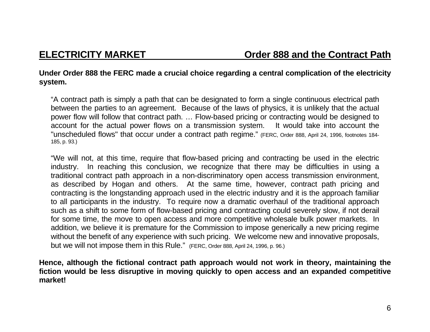### **Under Order 888 the FERC made a crucial choice regarding a central complication of the electricity system.**

"A contract path is simply a path that can be designated to form a single continuous electrical path between the parties to an agreement. Because of the laws of physics, it is unlikely that the actual power flow will follow that contract path. … Flow-based pricing or contracting would be designed to account for the actual power flows on a transmission system. It would take into account the "unscheduled flows" that occur under a contract path regime." (FERC, Order 888, April 24, 1996, footnotes 184- 185, p. 93.)

"We will not, at this time, require that flow-based pricing and contracting be used in the electric industry. In reaching this conclusion, we recognize that there may be difficulties in using a traditional contract path approach in a non-discriminatory open access transmission environment, as described by Hogan and others. At the same time, however, contract path pricing and contracting is the longstanding approach used in the electric industry and it is the approach familiar to all participants in the industry. To require now a dramatic overhaul of the traditional approach such as a shift to some form of flow-based pricing and contracting could severely slow, if not derail for some time, the move to open access and more competitive wholesale bulk power markets. In addition, we believe it is premature for the Commission to impose generically a new pricing regime without the benefit of any experience with such pricing. We welcome new and innovative proposals, but we will not impose them in this Rule." (FERC, Order 888, April 24, 1996, p. 96.)

**Hence, although the fictional contract path approach would not work in theory, maintaining the fiction would be less disruptive in moving quickly to open access and an expanded competitive market!**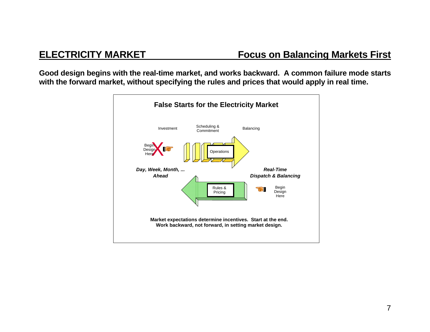**Good design begins with the real-time market, and works backward. A common failure mode starts with the forward market, without specifying the rules and prices that would apply in real time.** 

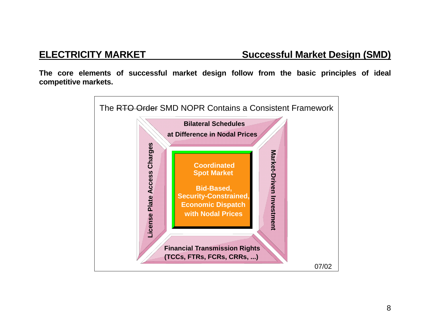**The core elements of successful market design follow from the basic principles of ideal competitive markets.** 

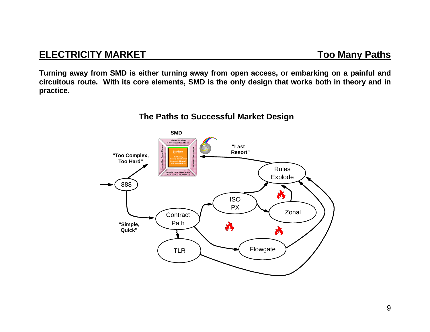**Turning away from SMD is either turning away from open access, or embarking on a painful and circuitous route. With its core elements, SMD is the only design that works both in theory and in practice.** 

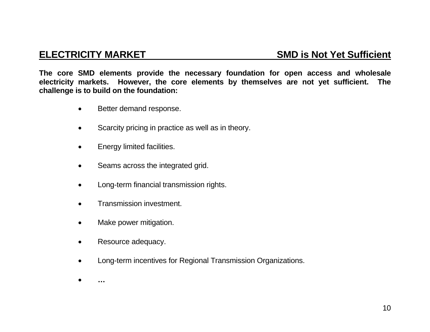**The core SMD elements provide the necessary foundation for open access and wholesale electricity markets. However, the core elements by themselves are not yet sufficient. The challenge is to build on the foundation:** 

- Better demand response.
- Scarcity pricing in practice as well as in theory.
- Energy limited facilities.
- Seams across the integrated grid.
- Long-term financial transmission rights.
- Transmission investment.
- Make power mitigation.
- Resource adequacy.
- Long-term incentives for Regional Transmission Organizations.
- •**…**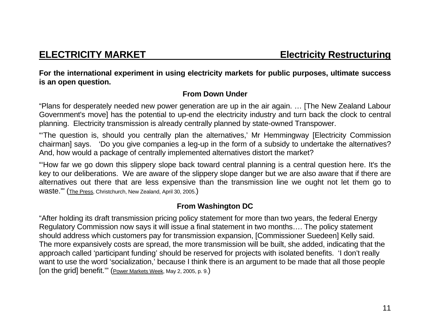**For the international experiment in using electricity markets for public purposes, ultimate success is an open question.** 

## **From Down Under**

"Plans for desperately needed new power generation are up in the air again. … [The New Zealand Labour Government's move] has the potential to up-end the electricity industry and turn back the clock to central planning. Electricity transmission is already centrally planned by state-owned Transpower.

"'The question is, should you centrally plan the alternatives,' Mr Hemmingway [Electricity Commission chairman] says. 'Do you give companies a leg-up in the form of a subsidy to undertake the alternatives? And, how would a package of centrally implemented alternatives distort the market?

"'How far we go down this slippery slope back toward central planning is a central question here. It's the key to our deliberations. We are aware of the slippery slope danger but we are also aware that if there are alternatives out there that are less expensive than the transmission line we ought not let them go to waste.'" (The Press, Christchurch, New Zealand, April 30, 2005.)

# **From Washington DC**

"After holding its draft transmission pricing policy statement for more than two years, the federal Energy Regulatory Commission now says it will issue a final statement in two months…. The policy statement should address which customers pay for transmission expansion, [Commissioner Suedeen] Kelly said. The more expansively costs are spread, the more transmission will be built, she added, indicating that the approach called 'participant funding' should be reserved for projects with isolated benefits. 'I don't really want to use the word 'socialization,' because I think there is an argument to be made that all those people [on the grid] benefit.'" (Power Markets Week, May 2, 2005, p. 9.)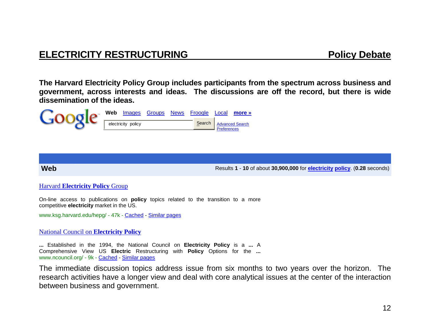# **ELECTRICITY RESTRUCTURING ELECTRICITY RESTRUCTURING**

**The Harvard Electricity Policy Group includes participants from the spectrum across business and government, across interests and ideas. The discussions are off the record, but there is wide dissemination of the ideas.** 



**Web**

Results **1** - **10** of about **30,900,000** for **electricity policy**. (**0.28** seconds)

### Harvard **Electricity Policy** Group

On-line access to publications on **policy** topics related to the transition to a more competitive **electricity** market in the US.

www.ksg.harvard.edu/hepg/ - 47k - Cached - Similar pages

National Council on **Electricity Policy**

**...** Established in the 1994, the National Council on **Electricity Policy** is a **...** AComprehensive View US **Electric** Restructuring with **Policy** Options for the **...** www.ncouncil.org/ - 9k - Cached - Similar pages

The immediate discussion topics address issue from six months to two years over the horizon. The research activities have a longer view and deal with core analytical issues at the center of the interaction between business and government.